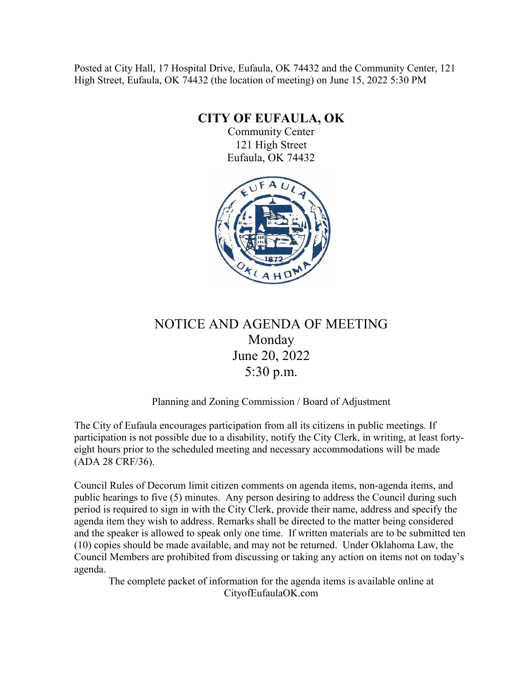Posted at City Hall, 17 Hospital Drive, Eufaula, OK 74432 and the Community Center, 121 High Street, Eufaula, OK 74432 (the location of meeting) on June 15, 2022 5:30 PM

**CITY OF EUFAULA, OK**

Community Center 121 High Street Eufaula, OK 74432



## NOTICE AND AGENDA OF MEETING Monday June 20, 2022 5:30 p.m.

Planning and Zoning Commission / Board of Adjustment

The City of Eufaula encourages participation from all its citizens in public meetings. If participation is not possible due to a disability, notify the City Clerk, in writing, at least fortyeight hours prior to the scheduled meeting and necessary accommodations will be made (ADA 28 CRF/36).

Council Rules of Decorum limit citizen comments on agenda items, non-agenda items, and public hearings to five (5) minutes. Any person desiring to address the Council during such period is required to sign in with the City Clerk, provide their name, address and specify the agenda item they wish to address. Remarks shall be directed to the matter being considered and the speaker is allowed to speak only one time. If written materials are to be submitted ten (10) copies should be made available, and may not be returned. Under Oklahoma Law, the Council Members are prohibited from discussing or taking any action on items not on today's agenda.

The complete packet of information for the agenda items is available online at CityofEufaulaOK.com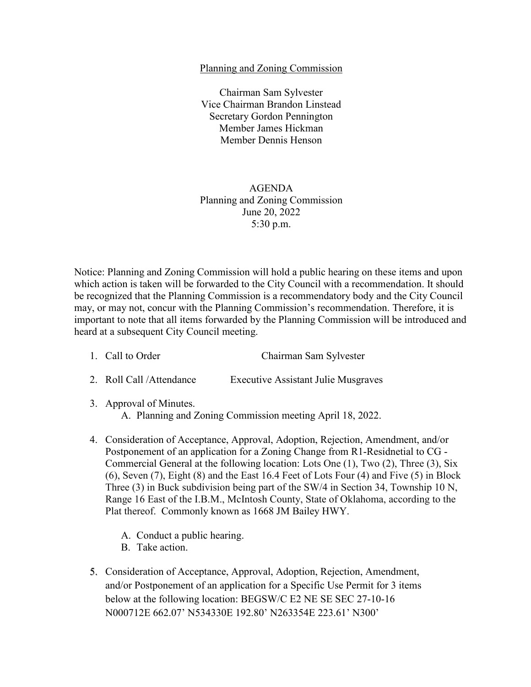## Planning and Zoning Commission

Chairman Sam Sylvester Vice Chairman Brandon Linstead Secretary Gordon Pennington Member James Hickman Member Dennis Henson

## AGENDA Planning and Zoning Commission June 20, 2022 5:30 p.m.

Notice: Planning and Zoning Commission will hold a public hearing on these items and upon which action is taken will be forwarded to the City Council with a recommendation. It should be recognized that the Planning Commission is a recommendatory body and the City Council may, or may not, concur with the Planning Commission's recommendation. Therefore, it is important to note that all items forwarded by the Planning Commission will be introduced and heard at a subsequent City Council meeting.

- 1. Call to Order Chairman Sam Sylvester
- 2. Roll Call /Attendance Executive Assistant Julie Musgraves
- 3. Approval of Minutes.

A. Planning and Zoning Commission meeting April 18, 2022.

- 4. Consideration of Acceptance, Approval, Adoption, Rejection, Amendment, and/or Postponement of an application for a Zoning Change from R1-Residnetial to CG - Commercial General at the following location: Lots One (1), Two (2), Three (3), Six (6), Seven (7), Eight (8) and the East 16.4 Feet of Lots Four (4) and Five (5) in Block Three (3) in Buck subdivision being part of the SW/4 in Section 34, Township 10 N, Range 16 East of the I.B.M., McIntosh County, State of Oklahoma, according to the Plat thereof. Commonly known as 1668 JM Bailey HWY.
	- A. Conduct a public hearing.
	- B. Take action.
- 5. Consideration of Acceptance, Approval, Adoption, Rejection, Amendment, and/or Postponement of an application for a Specific Use Permit for 3 items below at the following location: BEGSW/C E2 NE SE SEC 27-10-16 N000712E 662.07' N534330E 192.80' N263354E 223.61' N300'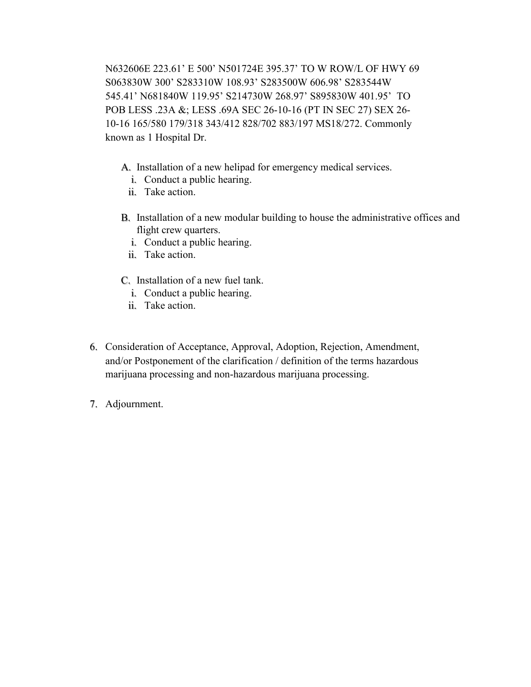N632606E 223.61' E 500' N501724E 395.37' TO W ROW/L OF HWY 69 S063830W 300' S283310W 108.93' S283500W 606.98' S283544W 545.41' N681840W 119.95' S214730W 268.97' S895830W 401.95' TO POB LESS .23A &; LESS .69A SEC 26-10-16 (PT IN SEC 27) SEX 26- 10-16 165/580 179/318 343/412 828/702 883/197 MS18/272. Commonly known as 1 Hospital Dr.

- A. Installation of a new helipad for emergency medical services.
	- i. Conduct a public hearing.
	- ii. Take action.
- B. Installation of a new modular building to house the administrative offices and flight crew quarters.
	- i. Conduct a public hearing.
	- ii. Take action.
- C. Installation of a new fuel tank.
	- i. Conduct a public hearing.
	- ii. Take action.
- 6. Consideration of Acceptance, Approval, Adoption, Rejection, Amendment, and/or Postponement of the clarification / definition of the terms hazardous marijuana processing and non-hazardous marijuana processing.
- 7. Adjournment.